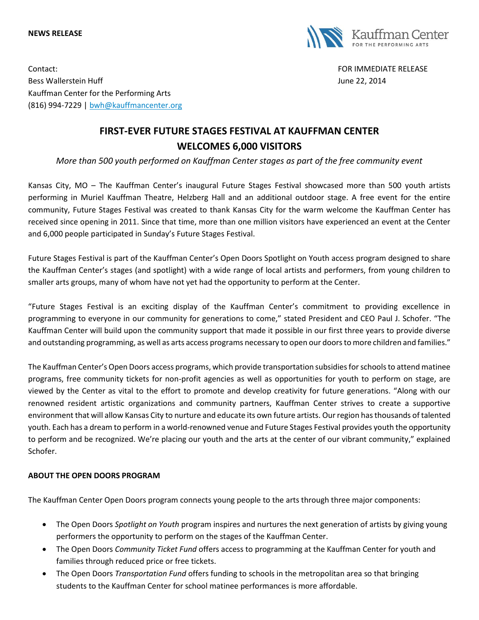## **NEWS RELEASE**



Contact: FOR IMMEDIATE RELEASE Bess Wallerstein Huff **State Australian Executive Controllers** and the United States of the United States of the United States and the United States of the United States and the United States and the United States and the Kauffman Center for the Performing Arts (816) 994-7229 | [bwh@kauffmancenter.org](mailto:bwh@kauffmancenter.org)

## **FIRST-EVER FUTURE STAGES FESTIVAL AT KAUFFMAN CENTER WELCOMES 6,000 VISITORS**

*More than 500 youth performed on Kauffman Center stages as part of the free community event*

Kansas City, MO – The Kauffman Center's inaugural Future Stages Festival showcased more than 500 youth artists performing in Muriel Kauffman Theatre, Helzberg Hall and an additional outdoor stage. A free event for the entire community, Future Stages Festival was created to thank Kansas City for the warm welcome the Kauffman Center has received since opening in 2011. Since that time, more than one million visitors have experienced an event at the Center and 6,000 people participated in Sunday's Future Stages Festival.

Future Stages Festival is part of the Kauffman Center's Open Doors Spotlight on Youth access program designed to share the Kauffman Center's stages (and spotlight) with a wide range of local artists and performers, from young children to smaller arts groups, many of whom have not yet had the opportunity to perform at the Center.

"Future Stages Festival is an exciting display of the Kauffman Center's commitment to providing excellence in programming to everyone in our community for generations to come," stated President and CEO Paul J. Schofer. "The Kauffman Center will build upon the community support that made it possible in our first three years to provide diverse and outstanding programming, as well as arts access programs necessary to open our doors to more children and families."

The Kauffman Center's Open Doors access programs, which provide transportation subsidies for schools to attend matinee programs, free community tickets for non-profit agencies as well as opportunities for youth to perform on stage, are viewed by the Center as vital to the effort to promote and develop creativity for future generations. "Along with our renowned resident artistic organizations and community partners, Kauffman Center strives to create a supportive environment that will allow Kansas City to nurture and educate its own future artists. Our region has thousands of talented youth. Each has a dream to perform in a world-renowned venue and Future Stages Festival provides youth the opportunity to perform and be recognized. We're placing our youth and the arts at the center of our vibrant community," explained Schofer.

## **ABOUT THE OPEN DOORS PROGRAM**

The Kauffman Center Open Doors program connects young people to the arts through three major components:

- The Open Doors *Spotlight on Youth* program inspires and nurtures the next generation of artists by giving young performers the opportunity to perform on the stages of the Kauffman Center.
- The Open Doors *Community Ticket Fund* offers access to programming at the Kauffman Center for youth and families through reduced price or free tickets.
- The Open Doors *Transportation Fund* offers funding to schools in the metropolitan area so that bringing students to the Kauffman Center for school matinee performances is more affordable.